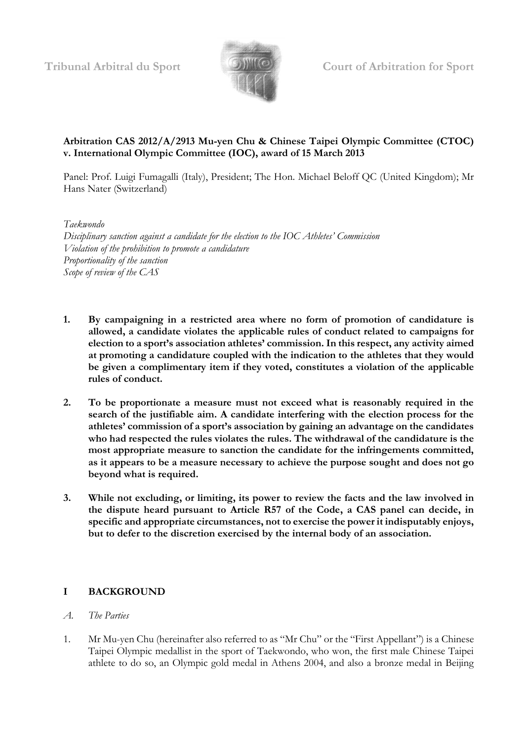

# **Arbitration CAS 2012/A/2913 Mu-yen Chu & Chinese Taipei Olympic Committee (CTOC) v. International Olympic Committee (IOC), award of 15 March 2013**

Panel: Prof. Luigi Fumagalli (Italy), President; The Hon. Michael Beloff QC (United Kingdom); Mr Hans Nater (Switzerland)

*Taekwondo*

*Disciplinary sanction against a candidate for the election to the IOC Athletes' Commission Violation of the prohibition to promote a candidature Proportionality of the sanction Scope of review of the CAS*

- **1. By campaigning in a restricted area where no form of promotion of candidature is allowed, a candidate violates the applicable rules of conduct related to campaigns for election to a sport's association athletes' commission. In this respect, any activity aimed at promoting a candidature coupled with the indication to the athletes that they would be given a complimentary item if they voted, constitutes a violation of the applicable rules of conduct.**
- **2. To be proportionate a measure must not exceed what is reasonably required in the search of the justifiable aim. A candidate interfering with the election process for the athletes' commission of a sport's association by gaining an advantage on the candidates who had respected the rules violates the rules. The withdrawal of the candidature is the most appropriate measure to sanction the candidate for the infringements committed, as it appears to be a measure necessary to achieve the purpose sought and does not go beyond what is required.**
- **3. While not excluding, or limiting, its power to review the facts and the law involved in the dispute heard pursuant to Article R57 of the Code, a CAS panel can decide, in specific and appropriate circumstances, not to exercise the power it indisputably enjoys, but to defer to the discretion exercised by the internal body of an association.**

# **I BACKGROUND**

- *A. The Parties*
- 1. Mr Mu-yen Chu (hereinafter also referred to as "Mr Chu" or the "First Appellant") is a Chinese Taipei Olympic medallist in the sport of Taekwondo, who won, the first male Chinese Taipei athlete to do so, an Olympic gold medal in Athens 2004, and also a bronze medal in Beijing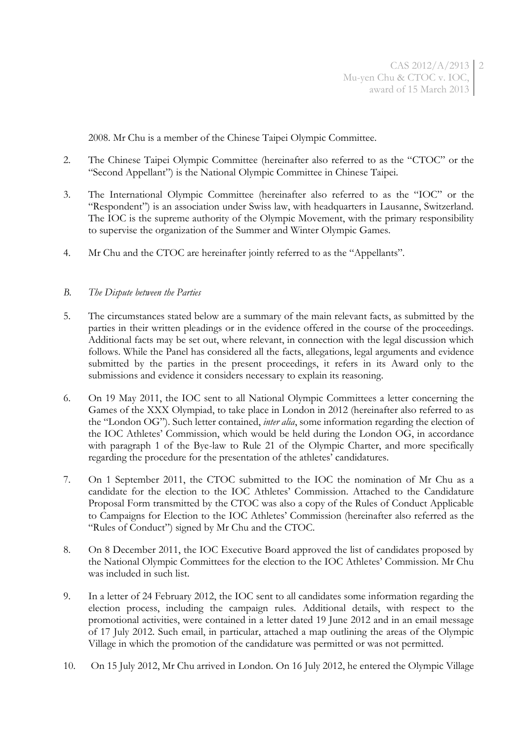2008. Mr Chu is a member of the Chinese Taipei Olympic Committee.

- 2. The Chinese Taipei Olympic Committee (hereinafter also referred to as the "CTOC" or the "Second Appellant") is the National Olympic Committee in Chinese Taipei.
- 3. The International Olympic Committee (hereinafter also referred to as the "IOC" or the "Respondent") is an association under Swiss law, with headquarters in Lausanne, Switzerland. The IOC is the supreme authority of the Olympic Movement, with the primary responsibility to supervise the organization of the Summer and Winter Olympic Games.
- 4. Mr Chu and the CTOC are hereinafter jointly referred to as the "Appellants".

#### *B. The Dispute between the Parties*

- 5. The circumstances stated below are a summary of the main relevant facts, as submitted by the parties in their written pleadings or in the evidence offered in the course of the proceedings. Additional facts may be set out, where relevant, in connection with the legal discussion which follows. While the Panel has considered all the facts, allegations, legal arguments and evidence submitted by the parties in the present proceedings, it refers in its Award only to the submissions and evidence it considers necessary to explain its reasoning.
- 6. On 19 May 2011, the IOC sent to all National Olympic Committees a letter concerning the Games of the XXX Olympiad, to take place in London in 2012 (hereinafter also referred to as the "London OG"). Such letter contained, *inter alia*, some information regarding the election of the IOC Athletes' Commission, which would be held during the London OG, in accordance with paragraph 1 of the Bye-law to Rule 21 of the Olympic Charter, and more specifically regarding the procedure for the presentation of the athletes' candidatures.
- 7. On 1 September 2011, the CTOC submitted to the IOC the nomination of Mr Chu as a candidate for the election to the IOC Athletes' Commission. Attached to the Candidature Proposal Form transmitted by the CTOC was also a copy of the Rules of Conduct Applicable to Campaigns for Election to the IOC Athletes' Commission (hereinafter also referred as the "Rules of Conduct") signed by Mr Chu and the CTOC.
- 8. On 8 December 2011, the IOC Executive Board approved the list of candidates proposed by the National Olympic Committees for the election to the IOC Athletes' Commission. Mr Chu was included in such list.
- <span id="page-1-0"></span>9. In a letter of 24 February 2012, the IOC sent to all candidates some information regarding the election process, including the campaign rules. Additional details, with respect to the promotional activities, were contained in a letter dated 19 June 2012 and in an email message of 17 July 2012. Such email, in particular, attached a map outlining the areas of the Olympic Village in which the promotion of the candidature was permitted or was not permitted.
- 10. On 15 July 2012, Mr Chu arrived in London. On 16 July 2012, he entered the Olympic Village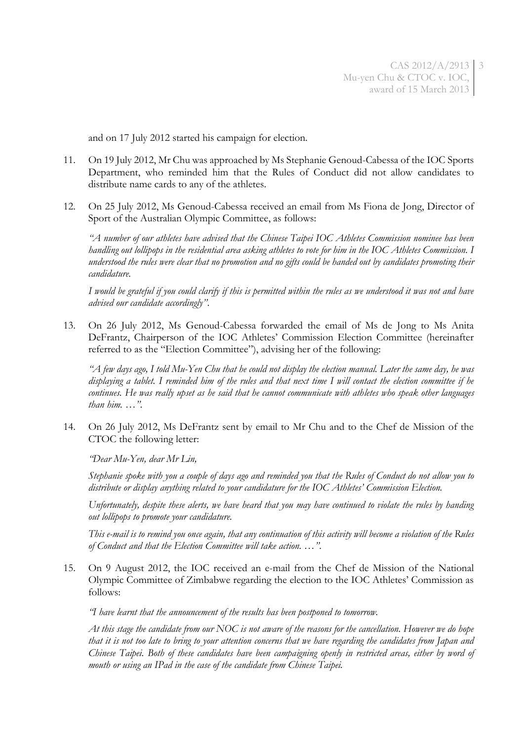and on 17 July 2012 started his campaign for election.

- 11. On 19 July 2012, Mr Chu was approached by Ms Stephanie Genoud-Cabessa of the IOC Sports Department, who reminded him that the Rules of Conduct did not allow candidates to distribute name cards to any of the athletes.
- <span id="page-2-1"></span>12. On 25 July 2012, Ms Genoud-Cabessa received an email from Ms Fiona de Jong, Director of Sport of the Australian Olympic Committee, as follows:

*"A number of our athletes have advised that the Chinese Taipei IOC Athletes Commission nominee has been handling out lollipops in the residential area asking athletes to vote for him in the IOC Athletes Commission. I understood the rules were clear that no promotion and no gifts could be handed out by candidates promoting their candidature.*

*I would be grateful if you could clarify if this is permitted within the rules as we understood it was not and have advised our candidate accordingly"*.

13. On 26 July 2012, Ms Genoud-Cabessa forwarded the email of Ms de Jong to Ms Anita DeFrantz, Chairperson of the IOC Athletes' Commission Election Committee (hereinafter referred to as the "Election Committee"), advising her of the following:

*"A few days ago, I told Mu-Yen Chu that he could not display the election manual. Later the same day, he was displaying a tablet. I reminded him of the rules and that next time I will contact the election committee if he continues. He was really upset as he said that he cannot communicate with athletes who speak other languages than him. …"*.

<span id="page-2-0"></span>14. On 26 July 2012, Ms DeFrantz sent by email to Mr Chu and to the Chef de Mission of the CTOC the following letter:

*"Dear Mu-Yen, dear Mr Lin,*

*Stephanie spoke with you a couple of days ago and reminded you that the Rules of Conduct do not allow you to distribute or display anything related to your candidature for the IOC Athletes' Commission Election.*

*Unfortunately, despite these alerts, we have heard that you may have continued to violate the rules by handing out lollipops to promote your candidature.*

*This e-mail is to remind you once again, that any continuation of this activity will become a violation of the Rules of Conduct and that the Election Committee will take action. …"*.

15. On 9 August 2012, the IOC received an e-mail from the Chef de Mission of the National Olympic Committee of Zimbabwe regarding the election to the IOC Athletes' Commission as follows:

*"I have learnt that the announcement of the results has been postponed to tomorrow.*

*At this stage the candidate from our NOC is not aware of the reasons for the cancellation. However we do hope that it is not too late to bring to your attention concerns that we have regarding the candidates from Japan and Chinese Taipei. Both of these candidates have been campaigning openly in restricted areas, either by word of mouth or using an IPad in the case of the candidate from Chinese Taipei.*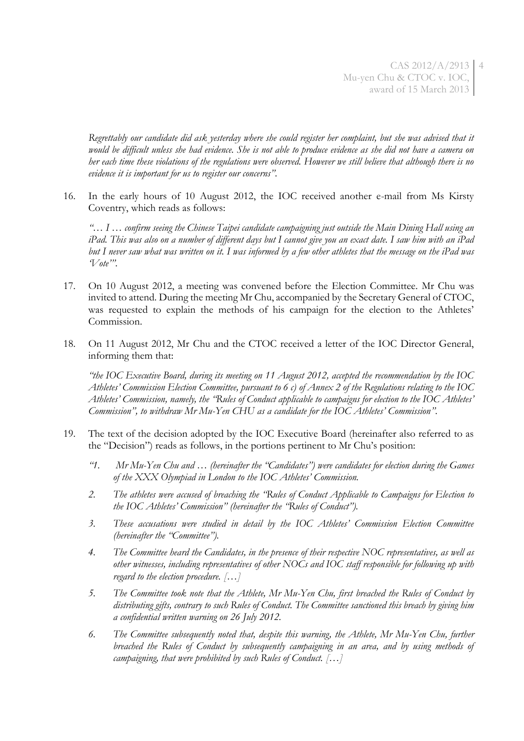*Regrettably our candidate did ask yesterday where she could register her complaint, but she was advised that it would be difficult unless she had evidence. She is not able to produce evidence as she did not have a camera on her each time these violations of the regulations were observed. However we still believe that although there is no evidence it is important for us to register our concerns"*.

16. In the early hours of 10 August 2012, the IOC received another e-mail from Ms Kirsty Coventry, which reads as follows:

*"… I … confirm seeing the Chinese Taipei candidate campaigning just outside the Main Dining Hall using an iPad. This was also on a number of different days but I cannot give you an exact date. I saw him with an iPad but I never saw what was written on it. I was informed by a few other athletes that the message on the iPad was 'Vote'"*.

- 17. On 10 August 2012, a meeting was convened before the Election Committee. Mr Chu was invited to attend. During the meeting Mr Chu, accompanied by the Secretary General of CTOC, was requested to explain the methods of his campaign for the election to the Athletes' Commission.
- 18. On 11 August 2012, Mr Chu and the CTOC received a letter of the IOC Director General, informing them that:

*"the IOC Executive Board, during its meeting on 11 August 2012, accepted the recommendation by the IOC Athletes' Commission Election Committee, pursuant to 6 c) of Annex 2 of the Regulations relating to the IOC Athletes' Commission, namely, the "Rules of Conduct applicable to campaigns for election to the IOC Athletes' Commission", to withdraw Mr Mu-Yen CHU as a candidate for the IOC Athletes' Commission"*.

- 19. The text of the decision adopted by the IOC Executive Board (hereinafter also referred to as the "Decision") reads as follows, in the portions pertinent to Mr Chu's position:
	- *"1. Mr Mu-Yen Chu and … (hereinafter the "Candidates") were candidates for election during the Games of the XXX Olympiad in London to the IOC Athletes' Commission.*
	- *2. The athletes were accused of breaching the "Rules of Conduct Applicable to Campaigns for Election to the IOC Athletes' Commission" (hereinafter the "Rules of Conduct").*
	- *3. These accusations were studied in detail by the IOC Athletes' Commission Election Committee (hereinafter the "Committee").*
	- *4. The Committee heard the Candidates, in the presence of their respective NOC representatives, as well as other witnesses, including representatives of other NOCs and IOC staff responsible for following up with regard to the election procedure. […]*
	- *5. The Committee took note that the Athlete, Mr Mu-Yen Chu, first breached the Rules of Conduct by distributing gifts, contrary to such Rules of Conduct. The Committee sanctioned this breach by giving him a confidential written warning on 26 July 2012.*
	- *6. The Committee subsequently noted that, despite this warning, the Athlete, Mr Mu-Yen Chu, further breached the Rules of Conduct by subsequently campaigning in an area, and by using methods of campaigning, that were prohibited by such Rules of Conduct. […]*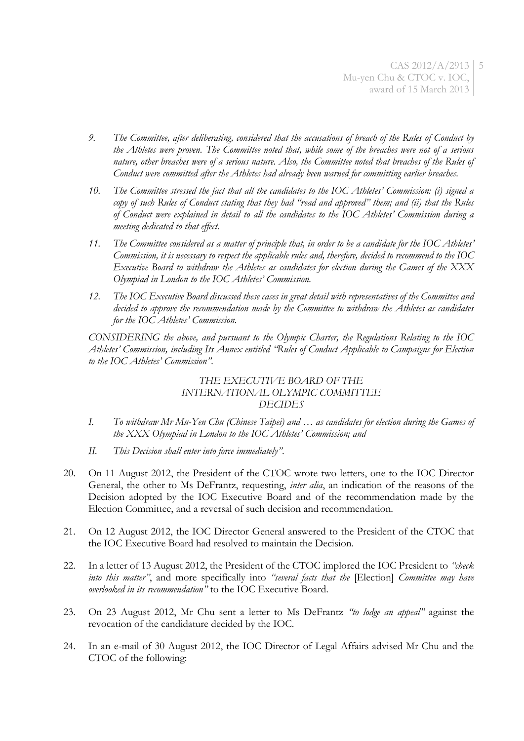- *9. The Committee, after deliberating, considered that the accusations of breach of the Rules of Conduct by the Athletes were proven. The Committee noted that, while some of the breaches were not of a serious nature, other breaches were of a serious nature. Also, the Committee noted that breaches of the Rules of Conduct were committed after the Athletes had already been warned for committing earlier breaches.*
- *10. The Committee stressed the fact that all the candidates to the IOC Athletes' Commission: (i) signed a copy of such Rules of Conduct stating that they had "read and approved" them; and (ii) that the Rules of Conduct were explained in detail to all the candidates to the IOC Athletes' Commission during a meeting dedicated to that effect.*
- *11. The Committee considered as a matter of principle that, in order to be a candidate for the IOC Athletes' Commission, it is necessary to respect the applicable rules and, therefore, decided to recommend to the IOC Executive Board to withdraw the Athletes as candidates for election during the Games of the XXX Olympiad in London to the IOC Athletes' Commission.*
- *12. The IOC Executive Board discussed these cases in great detail with representatives of the Committee and decided to approve the recommendation made by the Committee to withdraw the Athletes as candidates for the IOC Athletes' Commission.*

*CONSIDERING the above, and pursuant to the Olympic Charter, the Regulations Relating to the IOC Athletes' Commission, including Its Annex entitled "Rules of Conduct Applicable to Campaigns for Election to the IOC Athletes' Commission".*

## *THE EXECUTIVE BOARD OF THE INTERNATIONAL OLYMPIC COMMITTEE DECIDES*

- *I. To withdraw Mr Mu-Yen Chu (Chinese Taipei) and … as candidates for election during the Games of the XXX Olympiad in London to the IOC Athletes' Commission; and*
- *II. This Decision shall enter into force immediately"*.
- 20. On 11 August 2012, the President of the CTOC wrote two letters, one to the IOC Director General, the other to Ms DeFrantz, requesting, *inter alia*, an indication of the reasons of the Decision adopted by the IOC Executive Board and of the recommendation made by the Election Committee, and a reversal of such decision and recommendation.
- 21. On 12 August 2012, the IOC Director General answered to the President of the CTOC that the IOC Executive Board had resolved to maintain the Decision.
- 22. In a letter of 13 August 2012, the President of the CTOC implored the IOC President to *"check into this matter"*, and more specifically into *"several facts that the* [Election] *Committee may have overlooked in its recommendation"* to the IOC Executive Board.
- 23. On 23 August 2012, Mr Chu sent a letter to Ms DeFrantz *"to lodge an appeal"* against the revocation of the candidature decided by the IOC.
- <span id="page-4-0"></span>24. In an e-mail of 30 August 2012, the IOC Director of Legal Affairs advised Mr Chu and the CTOC of the following: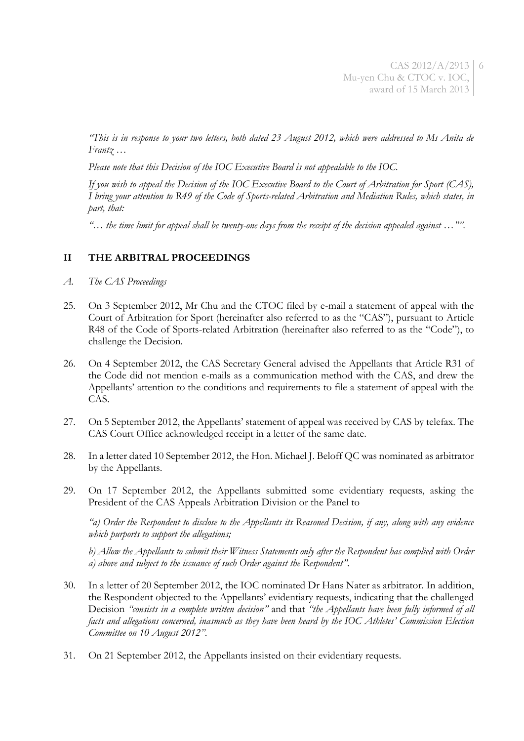*"This is in response to your two letters, both dated 23 August 2012, which were addressed to Ms Anita de Frantz …* 

*Please note that this Decision of the IOC Executive Board is not appealable to the IOC.*

*If you wish to appeal the Decision of the IOC Executive Board to the Court of Arbitration for Sport (CAS), I bring your attention to R49 of the Code of Sports-related Arbitration and Mediation Rules, which states, in part, that:*

*"… the time limit for appeal shall be twenty-one days from the receipt of the decision appealed against …""*.

## **II THE ARBITRAL PROCEEDINGS**

- *A. The CAS Proceedings*
- 25. On 3 September 2012, Mr Chu and the CTOC filed by e-mail a statement of appeal with the Court of Arbitration for Sport (hereinafter also referred to as the "CAS"), pursuant to Article R48 of the Code of Sports-related Arbitration (hereinafter also referred to as the "Code"), to challenge the Decision.
- 26. On 4 September 2012, the CAS Secretary General advised the Appellants that Article R31 of the Code did not mention e-mails as a communication method with the CAS, and drew the Appellants' attention to the conditions and requirements to file a statement of appeal with the CAS.
- 27. On 5 September 2012, the Appellants' statement of appeal was received by CAS by telefax. The CAS Court Office acknowledged receipt in a letter of the same date.
- 28. In a letter dated 10 September 2012, the Hon. Michael J. Beloff QC was nominated as arbitrator by the Appellants.
- 29. On 17 September 2012, the Appellants submitted some evidentiary requests, asking the President of the CAS Appeals Arbitration Division or the Panel to

*"a) Order the Respondent to disclose to the Appellants its Reasoned Decision, if any, along with any evidence which purports to support the allegations;*

*b) Allow the Appellants to submit their Witness Statements only after the Respondent has complied with Order a) above and subject to the issuance of such Order against the Respondent"*.

- 30. In a letter of 20 September 2012, the IOC nominated Dr Hans Nater as arbitrator. In addition, the Respondent objected to the Appellants' evidentiary requests, indicating that the challenged Decision *"consists in a complete written decision"* and that *"the Appellants have been fully informed of all facts and allegations concerned, inasmuch as they have been heard by the IOC Athletes' Commission Election Committee on 10 August 2012"*.
- 31. On 21 September 2012, the Appellants insisted on their evidentiary requests.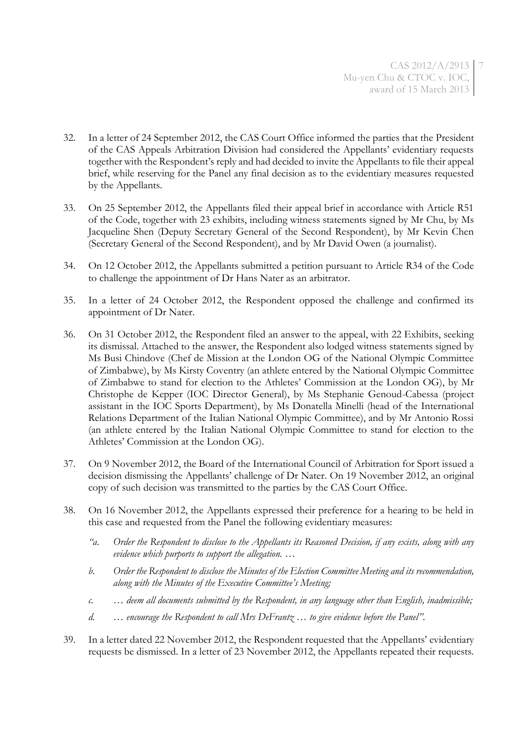- 32. In a letter of 24 September 2012, the CAS Court Office informed the parties that the President of the CAS Appeals Arbitration Division had considered the Appellants' evidentiary requests together with the Respondent's reply and had decided to invite the Appellants to file their appeal brief, while reserving for the Panel any final decision as to the evidentiary measures requested by the Appellants.
- 33. On 25 September 2012, the Appellants filed their appeal brief in accordance with Article R51 of the Code, together with 23 exhibits, including witness statements signed by Mr Chu, by Ms Jacqueline Shen (Deputy Secretary General of the Second Respondent), by Mr Kevin Chen (Secretary General of the Second Respondent), and by Mr David Owen (a journalist).
- 34. On 12 October 2012, the Appellants submitted a petition pursuant to Article R34 of the Code to challenge the appointment of Dr Hans Nater as an arbitrator.
- 35. In a letter of 24 October 2012, the Respondent opposed the challenge and confirmed its appointment of Dr Nater.
- 36. On 31 October 2012, the Respondent filed an answer to the appeal, with 22 Exhibits, seeking its dismissal. Attached to the answer, the Respondent also lodged witness statements signed by Ms Busi Chindove (Chef de Mission at the London OG of the National Olympic Committee of Zimbabwe), by Ms Kirsty Coventry (an athlete entered by the National Olympic Committee of Zimbabwe to stand for election to the Athletes' Commission at the London OG), by Mr Christophe de Kepper (IOC Director General), by Ms Stephanie Genoud-Cabessa (project assistant in the IOC Sports Department), by Ms Donatella Minelli (head of the International Relations Department of the Italian National Olympic Committee), and by Mr Antonio Rossi (an athlete entered by the Italian National Olympic Committee to stand for election to the Athletes' Commission at the London OG).
- 37. On 9 November 2012, the Board of the International Council of Arbitration for Sport issued a decision dismissing the Appellants' challenge of Dr Nater. On 19 November 2012, an original copy of such decision was transmitted to the parties by the CAS Court Office.
- 38. On 16 November 2012, the Appellants expressed their preference for a hearing to be held in this case and requested from the Panel the following evidentiary measures:
	- *"a. Order the Respondent to disclose to the Appellants its Reasoned Decision, if any exists, along with any evidence which purports to support the allegation. …*
	- *b. Order the Respondent to disclose the Minutes of the Election Committee Meeting and its recommendation, along with the Minutes of the Executive Committee's Meeting;*
	- *c. … deem all documents submitted by the Respondent, in any language other than English, inadmissible;*
	- *d. … encourage the Respondent to call Mrs DeFrantz … to give evidence before the Panel"*.
- 39. In a letter dated 22 November 2012, the Respondent requested that the Appellants' evidentiary requests be dismissed. In a letter of 23 November 2012, the Appellants repeated their requests.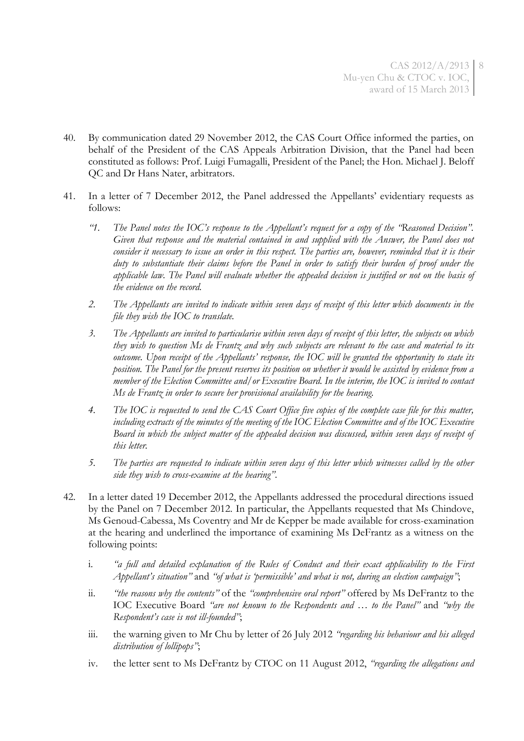- 40. By communication dated 29 November 2012, the CAS Court Office informed the parties, on behalf of the President of the CAS Appeals Arbitration Division, that the Panel had been constituted as follows: Prof. Luigi Fumagalli, President of the Panel; the Hon. Michael J. Beloff QC and Dr Hans Nater, arbitrators.
- 41. In a letter of 7 December 2012, the Panel addressed the Appellants' evidentiary requests as follows:
	- *"1. The Panel notes the IOC's response to the Appellant's request for a copy of the "Reasoned Decision". Given that response and the material contained in and supplied with the Answer, the Panel does not consider it necessary to issue an order in this respect. The parties are, however, reminded that it is their duty to substantiate their claims before the Panel in order to satisfy their burden of proof under the applicable law. The Panel will evaluate whether the appealed decision is justified or not on the basis of the evidence on the record.*
	- *2. The Appellants are invited to indicate within seven days of receipt of this letter which documents in the file they wish the IOC to translate.*
	- *3. The Appellants are invited to particularise within seven days of receipt of this letter, the subjects on which they wish to question Ms de Frantz and why such subjects are relevant to the case and material to its outcome. Upon receipt of the Appellants' response, the IOC will be granted the opportunity to state its position. The Panel for the present reserves its position on whether it would be assisted by evidence from a member of the Election Committee and/or Executive Board. In the interim, the IOC is invited to contact Ms de Frantz in order to secure her provisional availability for the hearing.*
	- *4. The IOC is requested to send the CAS Court Office five copies of the complete case file for this matter, including extracts of the minutes of the meeting of the IOC Election Committee and of the IOC Executive Board in which the subject matter of the appealed decision was discussed, within seven days of receipt of this letter.*
	- *5. The parties are requested to indicate within seven days of this letter which witnesses called by the other side they wish to cross-examine at the hearing"*.
- <span id="page-7-0"></span>42. In a letter dated 19 December 2012, the Appellants addressed the procedural directions issued by the Panel on 7 December 2012. In particular, the Appellants requested that Ms Chindove, Ms Genoud-Cabessa, Ms Coventry and Mr de Kepper be made available for cross-examination at the hearing and underlined the importance of examining Ms DeFrantz as a witness on the following points:
	- i. *"a full and detailed explanation of the Rules of Conduct and their exact applicability to the First Appellant's situation"* and *"of what is 'permissible' and what is not, during an election campaign"*;
	- ii. *"the reasons why the contents"* of the *"comprehensive oral report"* offered by Ms DeFrantz to the IOC Executive Board *"are not known to the Respondents and … to the Panel"* and *"why the Respondent's case is not ill-founded"*;
	- iii. the warning given to Mr Chu by letter of 26 July 2012 *"regarding his behaviour and his alleged distribution of lollipops"*;
	- iv. the letter sent to Ms DeFrantz by CTOC on 11 August 2012, *"regarding the allegations and*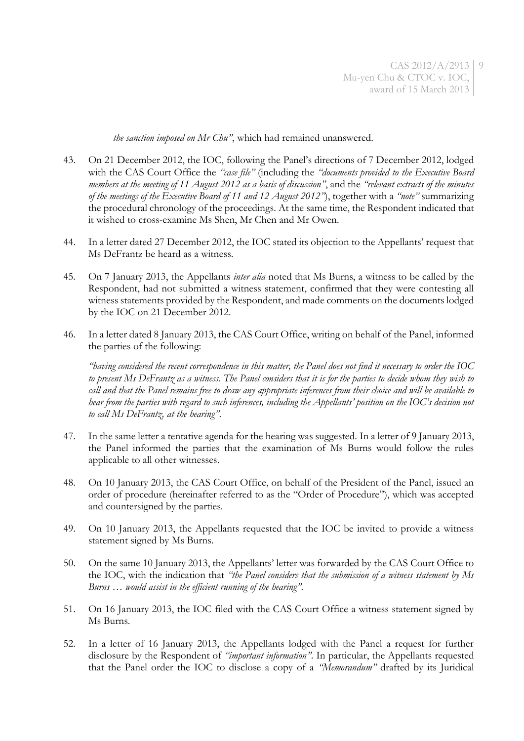*the sanction imposed on Mr Chu"*, which had remained unanswered.

- 43. On 21 December 2012, the IOC, following the Panel's directions of 7 December 2012, lodged with the CAS Court Office the *"case file"* (including the *"documents provided to the Executive Board members at the meeting of 11 August 2012 as a basis of discussion"*, and the *"relevant extracts of the minutes of the meetings of the Executive Board of 11 and 12 August 2012"*), together with a *"note"* summarizing the procedural chronology of the proceedings. At the same time, the Respondent indicated that it wished to cross-examine Ms Shen, Mr Chen and Mr Owen.
- 44. In a letter dated 27 December 2012, the IOC stated its objection to the Appellants' request that Ms DeFrantz be heard as a witness.
- 45. On 7 January 2013, the Appellants *inter alia* noted that Ms Burns, a witness to be called by the Respondent, had not submitted a witness statement, confirmed that they were contesting all witness statements provided by the Respondent, and made comments on the documents lodged by the IOC on 21 December 2012.
- 46. In a letter dated 8 January 2013, the CAS Court Office, writing on behalf of the Panel, informed the parties of the following:

*"having considered the recent correspondence in this matter, the Panel does not find it necessary to order the IOC to present Ms DeFrantz as a witness. The Panel considers that it is for the parties to decide whom they wish to call and that the Panel remains free to draw any appropriate inferences from their choice and will be available to hear from the parties with regard to such inferences, including the Appellants' position on the IOC's decision not to call Ms DeFrantz, at the hearing"*.

- 47. In the same letter a tentative agenda for the hearing was suggested. In a letter of 9 January 2013, the Panel informed the parties that the examination of Ms Burns would follow the rules applicable to all other witnesses.
- 48. On 10 January 2013, the CAS Court Office, on behalf of the President of the Panel, issued an order of procedure (hereinafter referred to as the "Order of Procedure"), which was accepted and countersigned by the parties.
- 49. On 10 January 2013, the Appellants requested that the IOC be invited to provide a witness statement signed by Ms Burns.
- 50. On the same 10 January 2013, the Appellants' letter was forwarded by the CAS Court Office to the IOC, with the indication that *"the Panel considers that the submission of a witness statement by Ms Burns … would assist in the efficient running of the hearing"*.
- 51. On 16 January 2013, the IOC filed with the CAS Court Office a witness statement signed by Ms Burns.
- 52. In a letter of 16 January 2013, the Appellants lodged with the Panel a request for further disclosure by the Respondent of *"important information"*. In particular, the Appellants requested that the Panel order the IOC to disclose a copy of a *"Memorandum"* drafted by its Juridical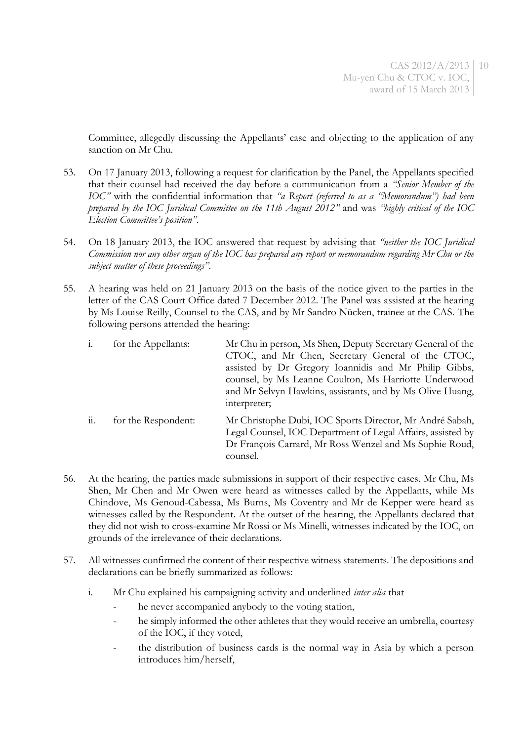Committee, allegedly discussing the Appellants' case and objecting to the application of any sanction on Mr Chu.

- 53. On 17 January 2013, following a request for clarification by the Panel, the Appellants specified that their counsel had received the day before a communication from a *"Senior Member of the IOC"* with the confidential information that *"a Report (referred to as a "Memorandum") had been prepared by the IOC Juridical Committee on the 11th August 2012"* and was *"highly critical of the IOC Election Committee's position"*.
- 54. On 18 January 2013, the IOC answered that request by advising that *"neither the IOC Juridical Commission nor any other organ of the IOC has prepared any report or memorandum regarding Mr Chu or the subject matter of these proceedings"*.
- 55. A hearing was held on 21 January 2013 on the basis of the notice given to the parties in the letter of the CAS Court Office dated 7 December 2012. The Panel was assisted at the hearing by Ms Louise Reilly, Counsel to the CAS, and by Mr Sandro Nücken, trainee at the CAS. The following persons attended the hearing:

|                        | for the Appellants: | Mr Chu in person, Ms Shen, Deputy Secretary General of the<br>CTOC, and Mr Chen, Secretary General of the CTOC,<br>assisted by Dr Gregory Ioannidis and Mr Philip Gibbs,<br>counsel, by Ms Leanne Coulton, Ms Harriotte Underwood<br>and Mr Selvyn Hawkins, assistants, and by Ms Olive Huang,<br>interpreter; |
|------------------------|---------------------|----------------------------------------------------------------------------------------------------------------------------------------------------------------------------------------------------------------------------------------------------------------------------------------------------------------|
| $\dddot{\mathbf{u}}$ . | for the Respondent: | Mr Christophe Dubi, IOC Sports Director, Mr André Sabah,<br>Legal Counsel, IOC Department of Legal Affairs, assisted by<br>Dr François Carrard, Mr Ross Wenzel and Ms Sophie Roud,<br>counsel.                                                                                                                 |

- 56. At the hearing, the parties made submissions in support of their respective cases. Mr Chu, Ms Shen, Mr Chen and Mr Owen were heard as witnesses called by the Appellants, while Ms Chindove, Ms Genoud-Cabessa, Ms Burns, Ms Coventry and Mr de Kepper were heard as witnesses called by the Respondent. At the outset of the hearing, the Appellants declared that they did not wish to cross-examine Mr Rossi or Ms Minelli, witnesses indicated by the IOC, on grounds of the irrelevance of their declarations.
- 57. All witnesses confirmed the content of their respective witness statements. The depositions and declarations can be briefly summarized as follows:
	- i. Mr Chu explained his campaigning activity and underlined *inter alia* that
		- he never accompanied anybody to the voting station,
		- he simply informed the other athletes that they would receive an umbrella, courtesy of the IOC, if they voted,
		- the distribution of business cards is the normal way in Asia by which a person introduces him/herself,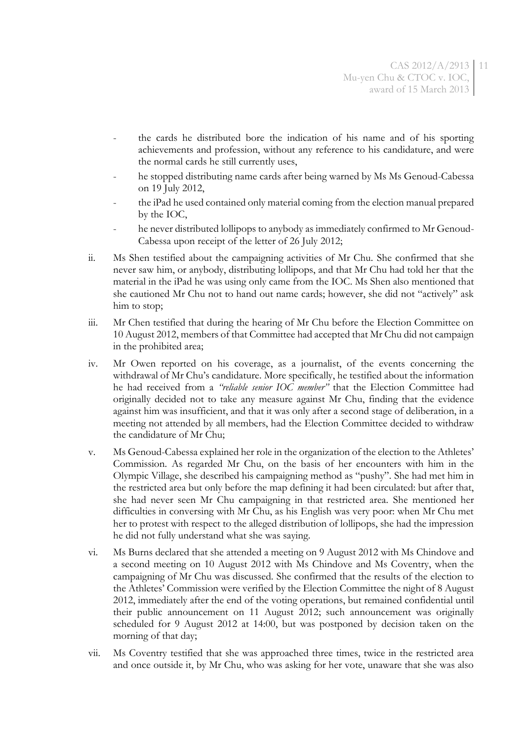- the cards he distributed bore the indication of his name and of his sporting achievements and profession, without any reference to his candidature, and were the normal cards he still currently uses,
- he stopped distributing name cards after being warned by Ms Ms Genoud-Cabessa on 19 July 2012,
- the iPad he used contained only material coming from the election manual prepared by the IOC,
- he never distributed lollipops to anybody as immediately confirmed to Mr Genoud-Cabessa upon receipt of the letter of 26 July 2012;
- ii. Ms Shen testified about the campaigning activities of Mr Chu. She confirmed that she never saw him, or anybody, distributing lollipops, and that Mr Chu had told her that the material in the iPad he was using only came from the IOC. Ms Shen also mentioned that she cautioned Mr Chu not to hand out name cards; however, she did not "actively" ask him to stop;
- iii. Mr Chen testified that during the hearing of Mr Chu before the Election Committee on 10 August 2012, members of that Committee had accepted that Mr Chu did not campaign in the prohibited area;
- iv. Mr Owen reported on his coverage, as a journalist, of the events concerning the withdrawal of Mr Chu's candidature. More specifically, he testified about the information he had received from a *"reliable senior IOC member"* that the Election Committee had originally decided not to take any measure against Mr Chu, finding that the evidence against him was insufficient, and that it was only after a second stage of deliberation, in a meeting not attended by all members, had the Election Committee decided to withdraw the candidature of Mr Chu;
- v. Ms Genoud-Cabessa explained her role in the organization of the election to the Athletes' Commission. As regarded Mr Chu, on the basis of her encounters with him in the Olympic Village, she described his campaigning method as "pushy". She had met him in the restricted area but only before the map defining it had been circulated: but after that, she had never seen Mr Chu campaigning in that restricted area. She mentioned her difficulties in conversing with Mr Chu, as his English was very poor: when Mr Chu met her to protest with respect to the alleged distribution of lollipops, she had the impression he did not fully understand what she was saying.
- vi. Ms Burns declared that she attended a meeting on 9 August 2012 with Ms Chindove and a second meeting on 10 August 2012 with Ms Chindove and Ms Coventry, when the campaigning of Mr Chu was discussed. She confirmed that the results of the election to the Athletes' Commission were verified by the Election Committee the night of 8 August 2012, immediately after the end of the voting operations, but remained confidential until their public announcement on 11 August 2012; such announcement was originally scheduled for 9 August 2012 at 14:00, but was postponed by decision taken on the morning of that day;
- vii. Ms Coventry testified that she was approached three times, twice in the restricted area and once outside it, by Mr Chu, who was asking for her vote, unaware that she was also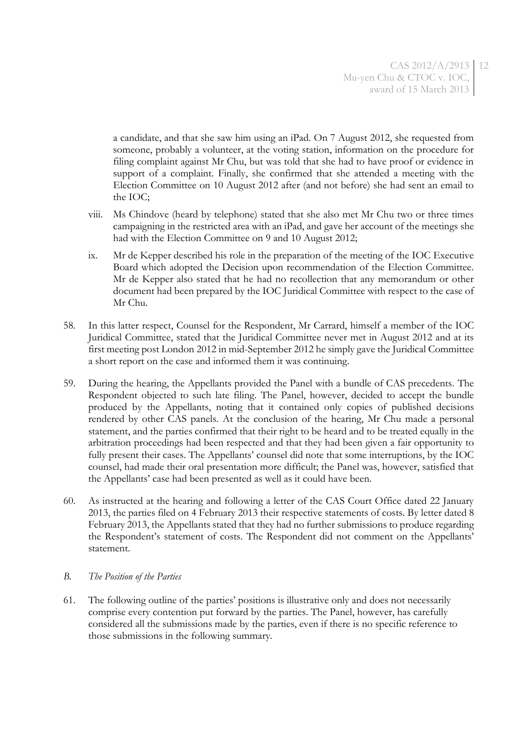a candidate, and that she saw him using an iPad. On 7 August 2012, she requested from someone, probably a volunteer, at the voting station, information on the procedure for filing complaint against Mr Chu, but was told that she had to have proof or evidence in support of a complaint. Finally, she confirmed that she attended a meeting with the Election Committee on 10 August 2012 after (and not before) she had sent an email to the IOC;

- viii. Ms Chindove (heard by telephone) stated that she also met Mr Chu two or three times campaigning in the restricted area with an iPad, and gave her account of the meetings she had with the Election Committee on 9 and 10 August 2012;
- ix. Mr de Kepper described his role in the preparation of the meeting of the IOC Executive Board which adopted the Decision upon recommendation of the Election Committee. Mr de Kepper also stated that he had no recollection that any memorandum or other document had been prepared by the IOC Juridical Committee with respect to the case of Mr Chu.
- 58. In this latter respect, Counsel for the Respondent, Mr Carrard, himself a member of the IOC Juridical Committee, stated that the Juridical Committee never met in August 2012 and at its first meeting post London 2012 in mid-September 2012 he simply gave the Juridical Committee a short report on the case and informed them it was continuing.
- 59. During the hearing, the Appellants provided the Panel with a bundle of CAS precedents. The Respondent objected to such late filing. The Panel, however, decided to accept the bundle produced by the Appellants, noting that it contained only copies of published decisions rendered by other CAS panels. At the conclusion of the hearing, Mr Chu made a personal statement, and the parties confirmed that their right to be heard and to be treated equally in the arbitration proceedings had been respected and that they had been given a fair opportunity to fully present their cases. The Appellants' counsel did note that some interruptions, by the IOC counsel, had made their oral presentation more difficult; the Panel was, however, satisfied that the Appellants' case had been presented as well as it could have been.
- 60. As instructed at the hearing and following a letter of the CAS Court Office dated 22 January 2013, the parties filed on 4 February 2013 their respective statements of costs. By letter dated 8 February 2013, the Appellants stated that they had no further submissions to produce regarding the Respondent's statement of costs. The Respondent did not comment on the Appellants' statement.

### *B. The Position of the Parties*

61. The following outline of the parties' positions is illustrative only and does not necessarily comprise every contention put forward by the parties. The Panel, however, has carefully considered all the submissions made by the parties, even if there is no specific reference to those submissions in the following summary.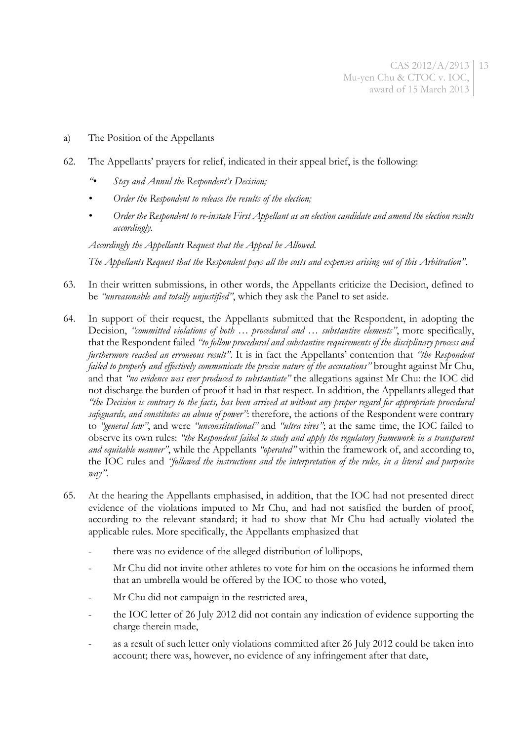- a) The Position of the Appellants
- 62. The Appellants' prayers for relief, indicated in their appeal brief, is the following:
	- *"• Stay and Annul the Respondent's Decision;*
	- *• Order the Respondent to release the results of the election;*
	- *• Order the Respondent to re-instate First Appellant as an election candidate and amend the election results accordingly.*

*Accordingly the Appellants Request that the Appeal be Allowed.*

*The Appellants Request that the Respondent pays all the costs and expenses arising out of this Arbitration"*.

- 63. In their written submissions, in other words, the Appellants criticize the Decision, defined to be *"unreasonable and totally unjustified"*, which they ask the Panel to set aside.
- 64. In support of their request, the Appellants submitted that the Respondent, in adopting the Decision, *"committed violations of both … procedural and … substantive elements"*, more specifically, that the Respondent failed *"to follow procedural and substantive requirements of the disciplinary process and furthermore reached an erroneous result"*. It is in fact the Appellants' contention that *"the Respondent failed to properly and effectively communicate the precise nature of the accusations"* brought against Mr Chu, and that *"no evidence was ever produced to substantiate"* the allegations against Mr Chu: the IOC did not discharge the burden of proof it had in that respect. In addition, the Appellants alleged that *"the Decision is contrary to the facts, has been arrived at without any proper regard for appropriate procedural safeguards, and constitutes an abuse of power"*: therefore, the actions of the Respondent were contrary to *"general law"*, and were *"unconstitutional"* and *"ultra vires"*; at the same time, the IOC failed to observe its own rules: *"the Respondent failed to study and apply the regulatory framework in a transparent and equitable manner"*, while the Appellants *"operated"* within the framework of, and according to, the IOC rules and *"followed the instructions and the interpretation of the rules, in a literal and purposive way"*.
- 65. At the hearing the Appellants emphasised, in addition, that the IOC had not presented direct evidence of the violations imputed to Mr Chu, and had not satisfied the burden of proof, according to the relevant standard; it had to show that Mr Chu had actually violated the applicable rules. More specifically, the Appellants emphasized that
	- there was no evidence of the alleged distribution of lollipops,
	- Mr Chu did not invite other athletes to vote for him on the occasions he informed them that an umbrella would be offered by the IOC to those who voted,
	- Mr Chu did not campaign in the restricted area,
	- the IOC letter of 26 July 2012 did not contain any indication of evidence supporting the charge therein made,
	- as a result of such letter only violations committed after 26 July 2012 could be taken into account; there was, however, no evidence of any infringement after that date,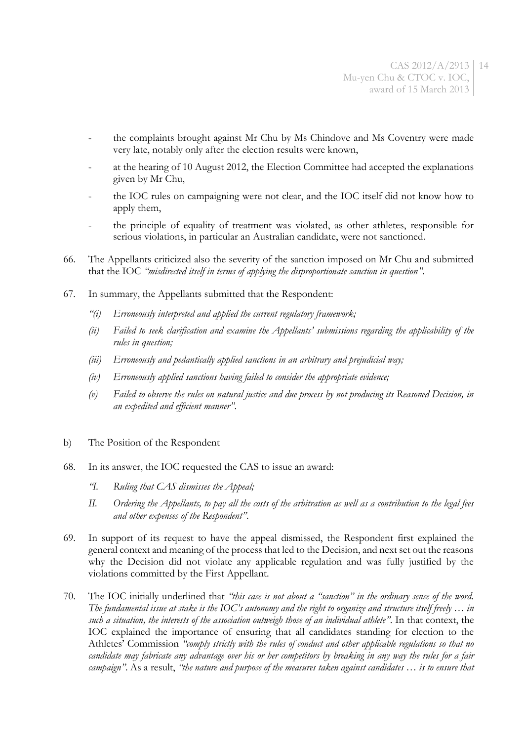- the complaints brought against Mr Chu by Ms Chindove and Ms Coventry were made very late, notably only after the election results were known,
- at the hearing of 10 August 2012, the Election Committee had accepted the explanations given by Mr Chu,
- the IOC rules on campaigning were not clear, and the IOC itself did not know how to apply them,
- the principle of equality of treatment was violated, as other athletes, responsible for serious violations, in particular an Australian candidate, were not sanctioned.
- 66. The Appellants criticized also the severity of the sanction imposed on Mr Chu and submitted that the IOC *"misdirected itself in terms of applying the disproportionate sanction in question"*.
- 67. In summary, the Appellants submitted that the Respondent:
	- *"(i) Erroneously interpreted and applied the current regulatory framework;*
	- *(ii) Failed to seek clarification and examine the Appellants' submissions regarding the applicability of the rules in question;*
	- *(iii) Erroneously and pedantically applied sanctions in an arbitrary and prejudicial way;*
	- *(iv) Erroneously applied sanctions having failed to consider the appropriate evidence;*
	- *(v) Failed to observe the rules on natural justice and due process by not producing its Reasoned Decision, in an expedited and efficient manner"*.
- b) The Position of the Respondent
- 68. In its answer, the IOC requested the CAS to issue an award:
	- *"I. Ruling that CAS dismisses the Appeal;*
	- *II. Ordering the Appellants, to pay all the costs of the arbitration as well as a contribution to the legal fees and other expenses of the Respondent"*.
- 69. In support of its request to have the appeal dismissed, the Respondent first explained the general context and meaning of the process that led to the Decision, and next set out the reasons why the Decision did not violate any applicable regulation and was fully justified by the violations committed by the First Appellant.
- 70. The IOC initially underlined that *"this case is not about a "sanction" in the ordinary sense of the word. The fundamental issue at stake is the IOC's autonomy and the right to organize and structure itself freely … in such a situation, the interests of the association outweigh those of an individual athlete"*. In that context, the IOC explained the importance of ensuring that all candidates standing for election to the Athletes' Commission *"comply strictly with the rules of conduct and other applicable regulations so that no candidate may fabricate any advantage over his or her competitors by breaking in any way the rules for a fair campaign"*. As a result, *"the nature and purpose of the measures taken against candidates … is to ensure that*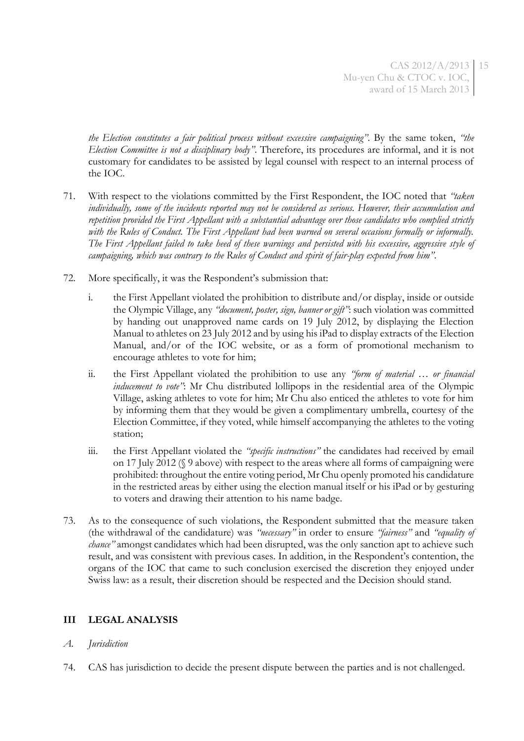*the Election constitutes a fair political process without excessive campaigning"*. By the same token, *"the Election Committee is not a disciplinary body"*. Therefore, its procedures are informal, and it is not customary for candidates to be assisted by legal counsel with respect to an internal process of the IOC.

- 71. With respect to the violations committed by the First Respondent, the IOC noted that *"taken individually, some of the incidents reported may not be considered as serious. However, their accumulation and repetition provided the First Appellant with a substantial advantage over those candidates who complied strictly with the Rules of Conduct. The First Appellant had been warned on several occasions formally or informally. The First Appellant failed to take heed of these warnings and persisted with his excessive, aggressive style of campaigning, which was contrary to the Rules of Conduct and spirit of fair-play expected from him"*.
- 72. More specifically, it was the Respondent's submission that:
	- i. the First Appellant violated the prohibition to distribute and/or display, inside or outside the Olympic Village, any *"document, poster, sign, banner or gift"*: such violation was committed by handing out unapproved name cards on 19 July 2012, by displaying the Election Manual to athletes on 23 July 2012 and by using his iPad to display extracts of the Election Manual, and/or of the IOC website, or as a form of promotional mechanism to encourage athletes to vote for him;
	- ii. the First Appellant violated the prohibition to use any *"form of material … or financial inducement to vote*": Mr Chu distributed lollipops in the residential area of the Olympic Village, asking athletes to vote for him; Mr Chu also enticed the athletes to vote for him by informing them that they would be given a complimentary umbrella, courtesy of the Election Committee, if they voted, while himself accompanying the athletes to the voting station;
	- iii. the First Appellant violated the *"specific instructions"* the candidates had received by email on 17 July 2012 ([§ 9](#page-1-0) above) with respect to the areas where all forms of campaigning were prohibited: throughout the entire voting period, Mr Chu openly promoted his candidature in the restricted areas by either using the election manual itself or his iPad or by gesturing to voters and drawing their attention to his name badge.
- 73. As to the consequence of such violations, the Respondent submitted that the measure taken (the withdrawal of the candidature) was *"necessary"* in order to ensure *"fairness"* and *"equality of chance"* amongst candidates which had been disrupted, was the only sanction apt to achieve such result, and was consistent with previous cases. In addition, in the Respondent's contention, the organs of the IOC that came to such conclusion exercised the discretion they enjoyed under Swiss law: as a result, their discretion should be respected and the Decision should stand.

# **III LEGAL ANALYSIS**

# *A. Jurisdiction*

74. CAS has jurisdiction to decide the present dispute between the parties and is not challenged.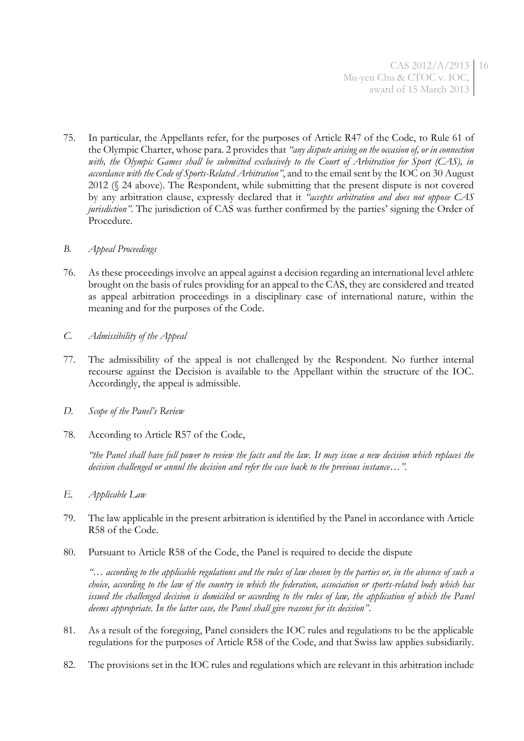75. In particular, the Appellants refer, for the purposes of Article R47 of the Code, to Rule 61 of the Olympic Charter, whose para. 2 provides that *"any dispute arising on the occasion of, or in connection with, the Olympic Games shall be submitted exclusively to the Court of Arbitration for Sport (CAS), in accordance with the Code of Sports-Related Arbitration"*, and to the email sent by the IOC on 30 August 2012 (§ [24](#page-4-0) above). The Respondent, while submitting that the present dispute is not covered by any arbitration clause, expressly declared that it *"accepts arbitration and does not oppose CAS jurisdiction"*. The jurisdiction of CAS was further confirmed by the parties' signing the Order of Procedure.

### *B. Appeal Proceedings*

- 76. As these proceedings involve an appeal against a decision regarding an international level athlete brought on the basis of rules providing for an appeal to the CAS, they are considered and treated as appeal arbitration proceedings in a disciplinary case of international nature, within the meaning and for the purposes of the Code.
- *C. Admissibility of the Appeal*
- 77. The admissibility of the appeal is not challenged by the Respondent. No further internal recourse against the Decision is available to the Appellant within the structure of the IOC. Accordingly, the appeal is admissible.
- *D. Scope of the Panel's Review*
- 78. According to Article R57 of the Code,

*"the Panel shall have full power to review the facts and the law. It may issue a new decision which replaces the decision challenged or annul the decision and refer the case back to the previous instance…".*

- *E. Applicable Law*
- 79. The law applicable in the present arbitration is identified by the Panel in accordance with Article R58 of the Code.
- 80. Pursuant to Article R58 of the Code, the Panel is required to decide the dispute

*"*… *according to the applicable regulations and the rules of law chosen by the parties or, in the absence of such a choice, according to the law of the country in which the federation, association or sports-related body which has issued the challenged decision is domiciled or according to the rules of law, the application of which the Panel deems appropriate. In the latter case, the Panel shall give reasons for its decision"*.

- 81. As a result of the foregoing, Panel considers the IOC rules and regulations to be the applicable regulations for the purposes of Article R58 of the Code, and that Swiss law applies subsidiarily.
- 82. The provisions set in the IOC rules and regulations which are relevant in this arbitration include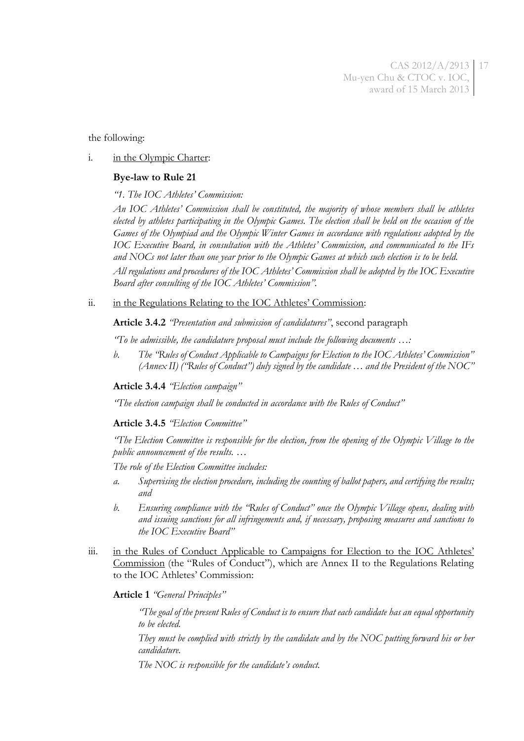the following:

#### i. in the Olympic Charter:

#### **Bye-law to Rule 21**

*"1. The IOC Athletes' Commission:* 

*An IOC Athletes' Commission shall be constituted, the majority of whose members shall be athletes elected by athletes participating in the Olympic Games. The election shall be held on the occasion of the Games of the Olympiad and the Olympic Winter Games in accordance with regulations adopted by the IOC Executive Board, in consultation with the Athletes' Commission, and communicated to the IFs and NOCs not later than one year prior to the Olympic Games at which such election is to be held.* 

*All regulations and procedures of the IOC Athletes' Commission shall be adopted by the IOC Executive Board after consulting of the IOC Athletes' Commission".*

ii. in the Regulations Relating to the IOC Athletes' Commission:

**Article 3.4.2** *"Presentation and submission of candidatures"*, second paragraph

*"To be admissible, the candidature proposal must include the following documents …:*

*b. The "Rules of Conduct Applicable to Campaigns for Election to the IOC Athletes' Commission" (Annex II) ("Rules of Conduct") duly signed by the candidate … and the President of the NOC"*

**Article 3.4.4** *"Election campaign"*

*"The election campaign shall be conducted in accordance with the Rules of Conduct"*

**Article 3.4.5** *"Election Committee"*

*"The Election Committee is responsible for the election, from the opening of the Olympic Village to the public announcement of the results. …*

*The role of the Election Committee includes:*

- *a. Supervising the election procedure, including the counting of ballot papers, and certifying the results; and*
- *b. Ensuring compliance with the "Rules of Conduct" once the Olympic Village opens, dealing with and issuing sanctions for all infringements and, if necessary, proposing measures and sanctions to the IOC Executive Board"*
- iii. in the Rules of Conduct Applicable to Campaigns for Election to the IOC Athletes' Commission (the "Rules of Conduct"), which are Annex II to the Regulations Relating to the IOC Athletes' Commission:

#### **Article 1** *"General Principles"*

*"The goal of the present Rules of Conduct is to ensure that each candidate has an equal opportunity to be elected.* 

*They must be complied with strictly by the candidate and by the NOC putting forward his or her candidature.* 

*The NOC is responsible for the candidate's conduct.*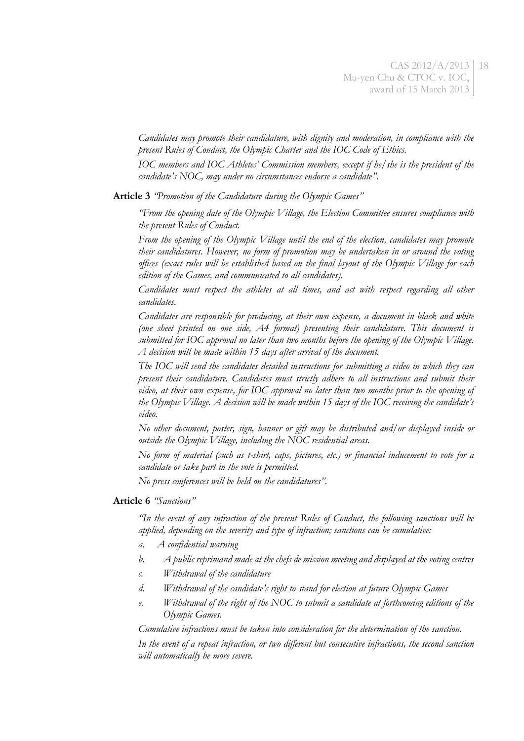*Candidates may promote their candidature, with dignity and moderation, in compliance with the present Rules of Conduct, the Olympic Charter and the IOC Code of Ethics.* 

*IOC members and IOC Athletes' Commission members, except if he/she is the president of the candidate's NOC, may under no circumstances endorse a candidate".*

**Article 3** *"Promotion of the Candidature during the Olympic Games"*

*"From the opening date of the Olympic Village, the Election Committee ensures compliance with the present Rules of Conduct.* 

*From the opening of the Olympic Village until the end of the election, candidates may promote their candidatures. However, no form of promotion may be undertaken in or around the voting offices (exact rules will be established based on the final layout of the Olympic Village for each edition of the Games, and communicated to all candidates).*

*Candidates must respect the athletes at all times, and act with respect regarding all other candidates.*

*Candidates are responsible for producing, at their own expense, a document in black and white (one sheet printed on one side, A4 format) presenting their candidature. This document is submitted for IOC approval no later than two months before the opening of the Olympic Village. A decision will be made within 15 days after arrival of the document.* 

*The IOC will send the candidates detailed instructions for submitting a video in which they can present their candidature. Candidates must strictly adhere to all instructions and submit their video, at their own expense, for IOC approval no later than two months prior to the opening of the Olympic Village. A decision will be made within 15 days of the IOC receiving the candidate's video.* 

*No other document, poster, sign, banner or gift may be distributed and/or displayed inside or outside the Olympic Village, including the NOC residential areas.* 

*No form of material (such as t-shirt, caps, pictures, etc.) or financial inducement to vote for a candidate or take part in the vote is permitted.* 

*No press conferences will be held on the candidatures".*

#### **Article 6** *"Sanctions"*

*"In the event of any infraction of the present Rules of Conduct, the following sanctions will be applied, depending on the severity and type of infraction; sanctions can be cumulative:* 

- *a. A confidential warning*
- *b. A public reprimand made at the chefs de mission meeting and displayed at the voting centres*
- *c. Withdrawal of the candidature*
- *d. Withdrawal of the candidate's right to stand for election at future Olympic Games*
- *e. Withdrawal of the right of the NOC to submit a candidate at forthcoming editions of the Olympic Games.*

*Cumulative infractions must be taken into consideration for the determination of the sanction.* 

*In the event of a repeat infraction, or two different but consecutive infractions, the second sanction will automatically be more severe.*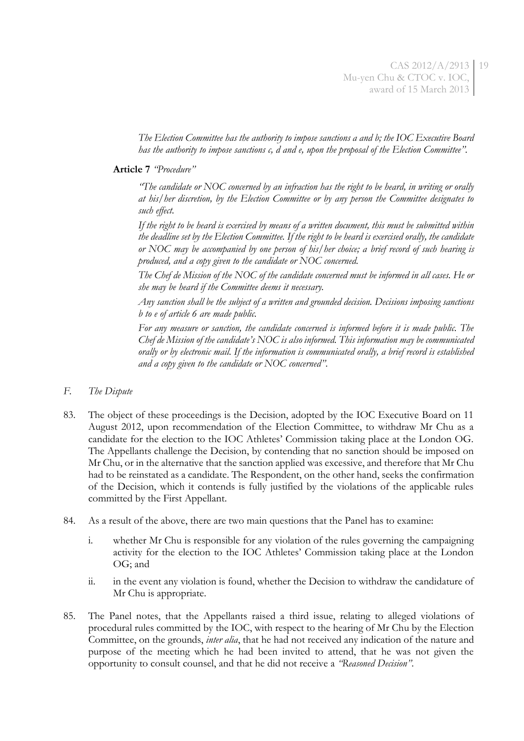*The Election Committee has the authority to impose sanctions a and b; the IOC Executive Board has the authority to impose sanctions c, d and e, upon the proposal of the Election Committee".*

### **Article 7** *"Procedure"*

*"The candidate or NOC concerned by an infraction has the right to be heard, in writing or orally at his/her discretion, by the Election Committee or by any person the Committee designates to such effect.* 

*If the right to be heard is exercised by means of a written document, this must be submitted within the deadline set by the Election Committee. If the right to be heard is exercised orally, the candidate or NOC may be accompanied by one person of his/her choice; a brief record of such hearing is produced, and a copy given to the candidate or NOC concerned.* 

*The Chef de Mission of the NOC of the candidate concerned must be informed in all cases. He or she may be heard if the Committee deems it necessary.* 

*Any sanction shall be the subject of a written and grounded decision. Decisions imposing sanctions b to e of article 6 are made public.* 

*For any measure or sanction, the candidate concerned is informed before it is made public. The Chef de Mission of the candidate's NOC is also informed. This information may be communicated orally or by electronic mail. If the information is communicated orally, a brief record is established and a copy given to the candidate or NOC concerned"*.

- *F. The Dispute*
- 83. The object of these proceedings is the Decision, adopted by the IOC Executive Board on 11 August 2012, upon recommendation of the Election Committee, to withdraw Mr Chu as a candidate for the election to the IOC Athletes' Commission taking place at the London OG. The Appellants challenge the Decision, by contending that no sanction should be imposed on Mr Chu, or in the alternative that the sanction applied was excessive, and therefore that Mr Chu had to be reinstated as a candidate. The Respondent, on the other hand, seeks the confirmation of the Decision, which it contends is fully justified by the violations of the applicable rules committed by the First Appellant.
- 84. As a result of the above, there are two main questions that the Panel has to examine:
	- i. whether Mr Chu is responsible for any violation of the rules governing the campaigning activity for the election to the IOC Athletes' Commission taking place at the London OG; and
	- ii. in the event any violation is found, whether the Decision to withdraw the candidature of Mr Chu is appropriate.
- 85. The Panel notes, that the Appellants raised a third issue, relating to alleged violations of procedural rules committed by the IOC, with respect to the hearing of Mr Chu by the Election Committee, on the grounds, *inter alia*, that he had not received any indication of the nature and purpose of the meeting which he had been invited to attend, that he was not given the opportunity to consult counsel, and that he did not receive a *"Reasoned Decision"*.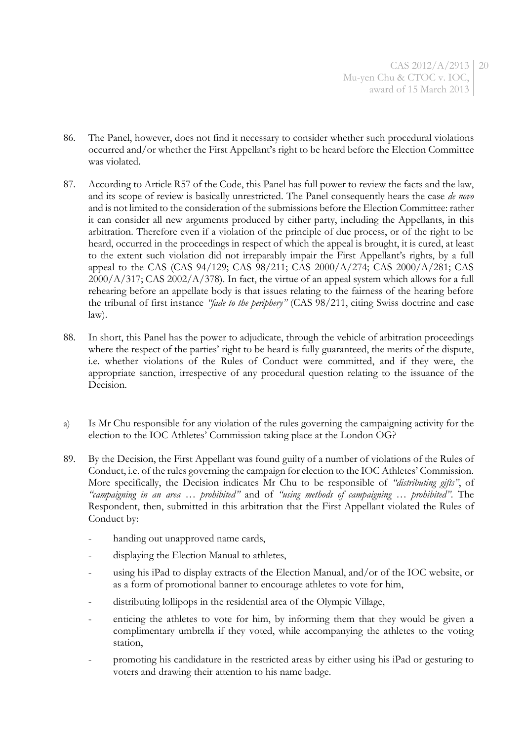- 86. The Panel, however, does not find it necessary to consider whether such procedural violations occurred and/or whether the First Appellant's right to be heard before the Election Committee was violated.
- 87. According to Article R57 of the Code, this Panel has full power to review the facts and the law, and its scope of review is basically unrestricted. The Panel consequently hears the case *de novo* and is not limited to the consideration of the submissions before the Election Committee: rather it can consider all new arguments produced by either party, including the Appellants, in this arbitration. Therefore even if a violation of the principle of due process, or of the right to be heard, occurred in the proceedings in respect of which the appeal is brought, it is cured, at least to the extent such violation did not irreparably impair the First Appellant's rights, by a full appeal to the CAS (CAS 94/129; CAS 98/211; CAS 2000/A/274; CAS 2000/A/281; CAS 2000/A/317; CAS 2002/A/378). In fact, the virtue of an appeal system which allows for a full rehearing before an appellate body is that issues relating to the fairness of the hearing before the tribunal of first instance *"fade to the periphery"* (CAS 98/211, citing Swiss doctrine and case law).
- 88. In short, this Panel has the power to adjudicate, through the vehicle of arbitration proceedings where the respect of the parties' right to be heard is fully guaranteed, the merits of the dispute, i.e. whether violations of the Rules of Conduct were committed, and if they were, the appropriate sanction, irrespective of any procedural question relating to the issuance of the Decision.
- a) Is Mr Chu responsible for any violation of the rules governing the campaigning activity for the election to the IOC Athletes' Commission taking place at the London OG?
- 89. By the Decision, the First Appellant was found guilty of a number of violations of the Rules of Conduct, i.e. of the rules governing the campaign for election to the IOC Athletes' Commission. More specifically, the Decision indicates Mr Chu to be responsible of *"distributing gifts"*, of *"campaigning in an area … prohibited"* and of *"using methods of campaigning … prohibited"*. The Respondent, then, submitted in this arbitration that the First Appellant violated the Rules of Conduct by:
	- handing out unapproved name cards,
	- displaying the Election Manual to athletes,
	- using his iPad to display extracts of the Election Manual, and/or of the IOC website, or as a form of promotional banner to encourage athletes to vote for him,
	- distributing lollipops in the residential area of the Olympic Village,
	- enticing the athletes to vote for him, by informing them that they would be given a complimentary umbrella if they voted, while accompanying the athletes to the voting station,
	- promoting his candidature in the restricted areas by either using his iPad or gesturing to voters and drawing their attention to his name badge.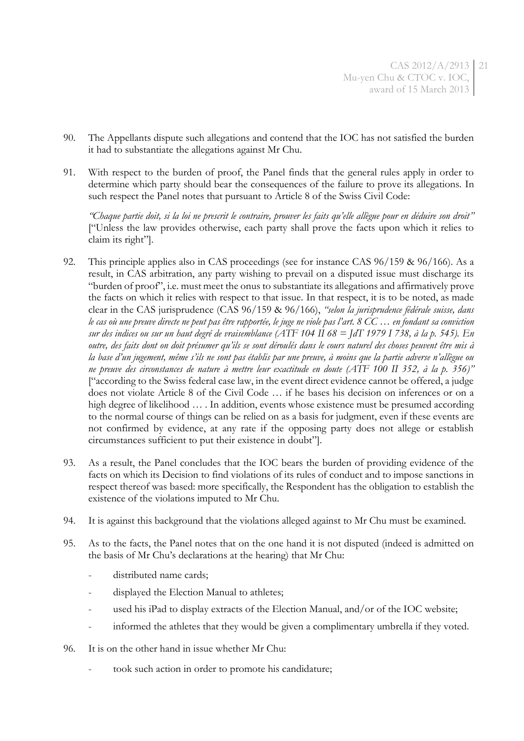- 90. The Appellants dispute such allegations and contend that the IOC has not satisfied the burden it had to substantiate the allegations against Mr Chu.
- 91. With respect to the burden of proof, the Panel finds that the general rules apply in order to determine which party should bear the consequences of the failure to prove its allegations. In such respect the Panel notes that pursuant to Article 8 of the Swiss Civil Code:

*"Chaque partie doit, si la loi ne prescrit le contraire, prouver les faits qu'elle allègue pour en déduire son droit"* ["Unless the law provides otherwise, each party shall prove the facts upon which it relies to claim its right"].

- 92. This principle applies also in CAS proceedings (see for instance CAS 96/159 & 96/166). As a result, in CAS arbitration, any party wishing to prevail on a disputed issue must discharge its "burden of proof", i.e. must meet the onus to substantiate its allegations and affirmatively prove the facts on which it relies with respect to that issue. In that respect, it is to be noted, as made clear in the CAS jurisprudence (CAS 96/159 & 96/166), *"selon la jurisprudence fédérale suisse, dans le cas où une preuve directe ne peut pas être rapportée, le juge ne viole pas l'art. 8 CC … en fondant sa conviction sur des indices ou sur un haut degré de vraisemblance (ATF 104 II 68 = JdT 1979 I 738, à la p. 545). En outre, des faits dont on doit présumer qu'ils se sont déroulés dans le cours naturel des choses peuvent être mis à la base d'un jugement, même s'ils ne sont pas établis par une preuve, à moins que la partie adverse n'allègue ou ne preuve des circonstances de nature à mettre leur exactitude en doute (ATF 100 II 352, à la p. 356)"* ["according to the Swiss federal case law, in the event direct evidence cannot be offered, a judge does not violate Article 8 of the Civil Code … if he bases his decision on inferences or on a high degree of likelihood ... . In addition, events whose existence must be presumed according to the normal course of things can be relied on as a basis for judgment, even if these events are not confirmed by evidence, at any rate if the opposing party does not allege or establish circumstances sufficient to put their existence in doubt"].
- 93. As a result, the Panel concludes that the IOC bears the burden of providing evidence of the facts on which its Decision to find violations of its rules of conduct and to impose sanctions in respect thereof was based: more specifically, the Respondent has the obligation to establish the existence of the violations imputed to Mr Chu.
- 94. It is against this background that the violations alleged against to Mr Chu must be examined.
- 95. As to the facts, the Panel notes that on the one hand it is not disputed (indeed is admitted on the basis of Mr Chu's declarations at the hearing) that Mr Chu:
	- distributed name cards;
	- displayed the Election Manual to athletes;
	- used his iPad to display extracts of the Election Manual, and/or of the IOC website;
	- informed the athletes that they would be given a complimentary umbrella if they voted.
- <span id="page-20-0"></span>96. It is on the other hand in issue whether Mr Chu:
	- took such action in order to promote his candidature;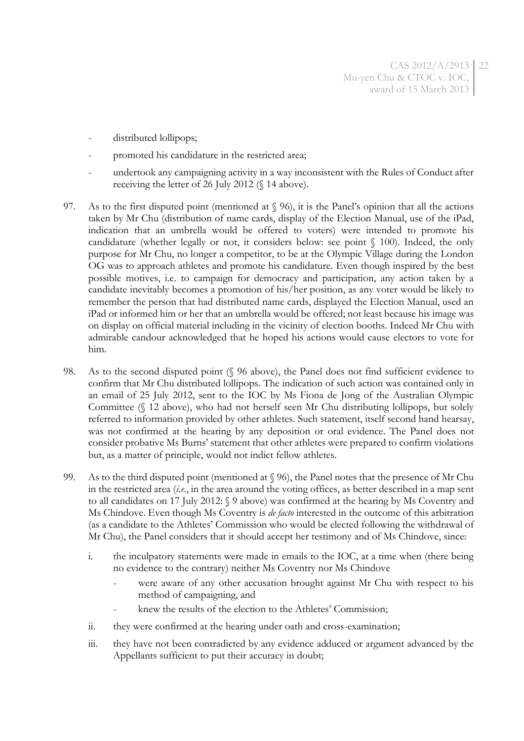- distributed lollipops;
- promoted his candidature in the restricted area;
- undertook any campaigning activity in a way inconsistent with the Rules of Conduct after receiving the letter of 26 July 2012 (§ [14](#page-2-0) above).
- 97. As to the first disputed point (mentioned at § [96](#page-20-0)), it is the Panel's opinion that all the actions taken by Mr Chu (distribution of name cards, display of the Election Manual, use of the iPad, indication that an umbrella would be offered to voters) were intended to promote his candidature (whether legally or not, it considers below: see point § [100\)](#page-22-0). Indeed, the only purpose for Mr Chu, no longer a competitor, to be at the Olympic Village during the London OG was to approach athletes and promote his candidature. Even though inspired by the best possible motives, i.e. to campaign for democracy and participation, any action taken by a candidate inevitably becomes a promotion of his/her position, as any voter would be likely to remember the person that had distributed name cards, displayed the Election Manual, used an iPad or informed him or her that an umbrella would be offered; not least because his image was on display on official material including in the vicinity of election booths. Indeed Mr Chu with admirable candour acknowledged that he hoped his actions would cause electors to vote for him.
- 98. As to the second disputed point (§ [96](#page-20-0) above), the Panel does not find sufficient evidence to confirm that Mr Chu distributed lollipops. The indication of such action was contained only in an email of 25 July 2012, sent to the IOC by Ms Fiona de Jong of the Australian Olympic Committee (§ [12](#page-2-1) above), who had not herself seen Mr Chu distributing lollipops, but solely referred to information provided by other athletes. Such statement, itself second hand hearsay, was not confirmed at the hearing by any deposition or oral evidence. The Panel does not consider probative Ms Burns' statement that other athletes were prepared to confirm violations but, as a matter of principle, would not indict fellow athletes.
- 99. As to the third disputed point (mentioned at § [96\)](#page-20-0), the Panel notes that the presence of Mr Chu in the restricted area (*i.e.*, in the area around the voting offices, as better described in a map sent to all candidates on 17 July 2012: § [9](#page-1-0) above) was confirmed at the hearing by Ms Coventry and Ms Chindove. Even though Ms Coventry is *de facto* interested in the outcome of this arbitration (as a candidate to the Athletes' Commission who would be elected following the withdrawal of Mr Chu), the Panel considers that it should accept her testimony and of Ms Chindove, since:
	- i. the inculpatory statements were made in emails to the IOC, at a time when (there being no evidence to the contrary) neither Ms Coventry nor Ms Chindove
		- were aware of any other accusation brought against Mr Chu with respect to his method of campaigning, and
		- knew the results of the election to the Athletes' Commission;
	- ii. they were confirmed at the hearing under oath and cross-examination;
	- iii. they have not been contradicted by any evidence adduced or argument advanced by the Appellants sufficient to put their accuracy in doubt;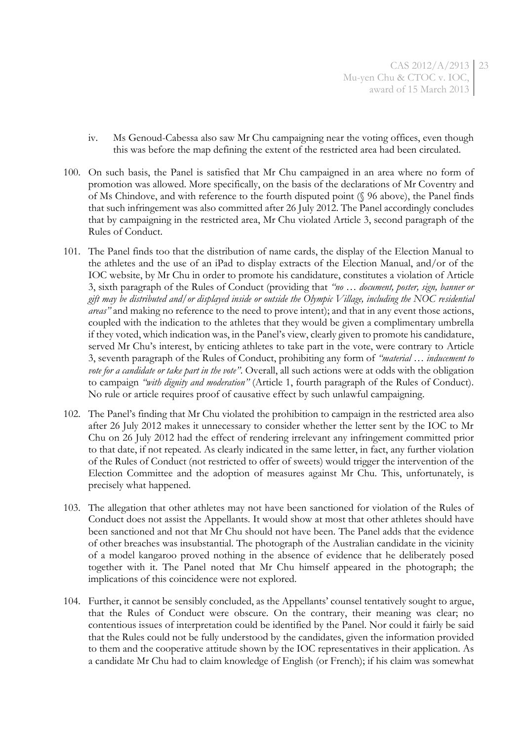- iv. Ms Genoud-Cabessa also saw Mr Chu campaigning near the voting offices, even though this was before the map defining the extent of the restricted area had been circulated.
- 100. On such basis, the Panel is satisfied that Mr Chu campaigned in an area where no form of promotion was allowed. More specifically, on the basis of the declarations of Mr Coventry and of Ms Chindove, and with reference to the fourth disputed point (§ [96](#page-20-0) above), the Panel finds that such infringement was also committed after 26 July 2012. The Panel accordingly concludes that by campaigning in the restricted area, Mr Chu violated Article 3, second paragraph of the Rules of Conduct.
- <span id="page-22-0"></span>101. The Panel finds too that the distribution of name cards, the display of the Election Manual to the athletes and the use of an iPad to display extracts of the Election Manual, and/or of the IOC website, by Mr Chu in order to promote his candidature, constitutes a violation of Article 3, sixth paragraph of the Rules of Conduct (providing that *"no … document, poster, sign, banner or gift may be distributed and/or displayed inside or outside the Olympic Village, including the NOC residential areas"* and making no reference to the need to prove intent); and that in any event those actions, coupled with the indication to the athletes that they would be given a complimentary umbrella if they voted, which indication was, in the Panel's view, clearly given to promote his candidature, served Mr Chu's interest, by enticing athletes to take part in the vote, were contrary to Article 3, seventh paragraph of the Rules of Conduct, prohibiting any form of *"material … inducement to vote for a candidate or take part in the vote"*. Overall, all such actions were at odds with the obligation to campaign *"with dignity and moderation"* (Article 1, fourth paragraph of the Rules of Conduct). No rule or article requires proof of causative effect by such unlawful campaigning.
- 102. The Panel's finding that Mr Chu violated the prohibition to campaign in the restricted area also after 26 July 2012 makes it unnecessary to consider whether the letter sent by the IOC to Mr Chu on 26 July 2012 had the effect of rendering irrelevant any infringement committed prior to that date, if not repeated. As clearly indicated in the same letter, in fact, any further violation of the Rules of Conduct (not restricted to offer of sweets) would trigger the intervention of the Election Committee and the adoption of measures against Mr Chu. This, unfortunately, is precisely what happened.
- 103. The allegation that other athletes may not have been sanctioned for violation of the Rules of Conduct does not assist the Appellants. It would show at most that other athletes should have been sanctioned and not that Mr Chu should not have been. The Panel adds that the evidence of other breaches was insubstantial. The photograph of the Australian candidate in the vicinity of a model kangaroo proved nothing in the absence of evidence that he deliberately posed together with it. The Panel noted that Mr Chu himself appeared in the photograph; the implications of this coincidence were not explored.
- 104. Further, it cannot be sensibly concluded, as the Appellants' counsel tentatively sought to argue, that the Rules of Conduct were obscure. On the contrary, their meaning was clear; no contentious issues of interpretation could be identified by the Panel. Nor could it fairly be said that the Rules could not be fully understood by the candidates, given the information provided to them and the cooperative attitude shown by the IOC representatives in their application. As a candidate Mr Chu had to claim knowledge of English (or French); if his claim was somewhat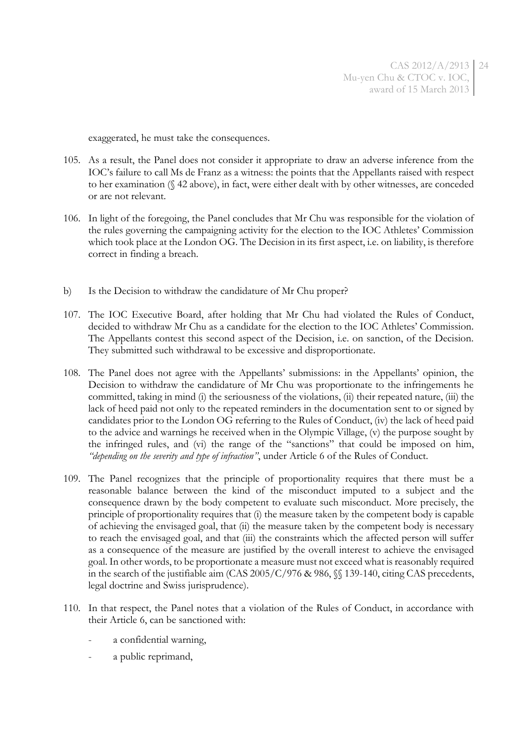exaggerated, he must take the consequences.

- 105. As a result, the Panel does not consider it appropriate to draw an adverse inference from the IOC's failure to call Ms de Franz as a witness: the points that the Appellants raised with respect to her examination (§ [42](#page-7-0) above), in fact, were either dealt with by other witnesses, are conceded or are not relevant.
- 106. In light of the foregoing, the Panel concludes that Mr Chu was responsible for the violation of the rules governing the campaigning activity for the election to the IOC Athletes' Commission which took place at the London OG. The Decision in its first aspect, i.e. on liability, is therefore correct in finding a breach.
- b) Is the Decision to withdraw the candidature of Mr Chu proper?
- 107. The IOC Executive Board, after holding that Mr Chu had violated the Rules of Conduct, decided to withdraw Mr Chu as a candidate for the election to the IOC Athletes' Commission. The Appellants contest this second aspect of the Decision, i.e. on sanction, of the Decision. They submitted such withdrawal to be excessive and disproportionate.
- <span id="page-23-0"></span>108. The Panel does not agree with the Appellants' submissions: in the Appellants' opinion, the Decision to withdraw the candidature of Mr Chu was proportionate to the infringements he committed, taking in mind (i) the seriousness of the violations, (ii) their repeated nature, (iii) the lack of heed paid not only to the repeated reminders in the documentation sent to or signed by candidates prior to the London OG referring to the Rules of Conduct, (iv) the lack of heed paid to the advice and warnings he received when in the Olympic Village, (v) the purpose sought by the infringed rules, and (vi) the range of the "sanctions" that could be imposed on him, *"depending on the severity and type of infraction"*, under Article 6 of the Rules of Conduct.
- 109. The Panel recognizes that the principle of proportionality requires that there must be a reasonable balance between the kind of the misconduct imputed to a subject and the consequence drawn by the body competent to evaluate such misconduct. More precisely, the principle of proportionality requires that (i) the measure taken by the competent body is capable of achieving the envisaged goal, that (ii) the measure taken by the competent body is necessary to reach the envisaged goal, and that (iii) the constraints which the affected person will suffer as a consequence of the measure are justified by the overall interest to achieve the envisaged goal. In other words, to be proportionate a measure must not exceed what is reasonably required in the search of the justifiable aim (CAS 2005/C/976 & 986, §§ 139-140, citing CAS precedents, legal doctrine and Swiss jurisprudence).
- 110. In that respect, the Panel notes that a violation of the Rules of Conduct, in accordance with their Article 6, can be sanctioned with:
	- a confidential warning,
	- a public reprimand,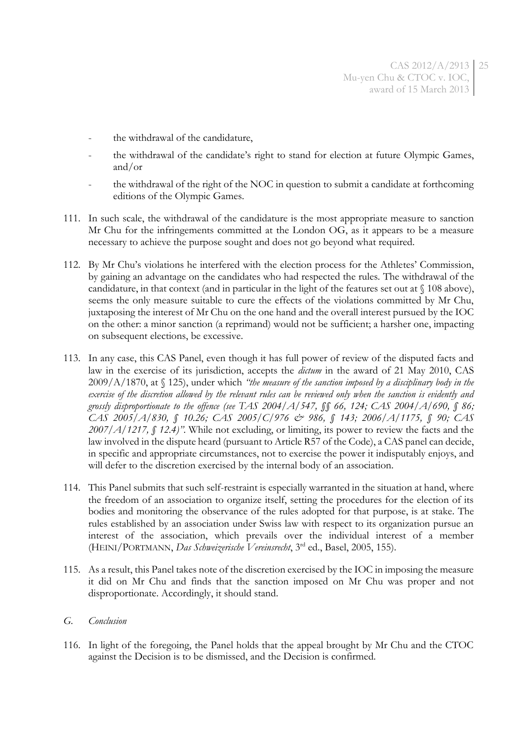- the withdrawal of the candidature,
- the withdrawal of the candidate's right to stand for election at future Olympic Games, and/or
- the withdrawal of the right of the NOC in question to submit a candidate at forthcoming editions of the Olympic Games.
- 111. In such scale, the withdrawal of the candidature is the most appropriate measure to sanction Mr Chu for the infringements committed at the London OG, as it appears to be a measure necessary to achieve the purpose sought and does not go beyond what required.
- 112. By Mr Chu's violations he interfered with the election process for the Athletes' Commission, by gaining an advantage on the candidates who had respected the rules. The withdrawal of the candidature, in that context (and in particular in the light of the features set out at § [108](#page-23-0) above), seems the only measure suitable to cure the effects of the violations committed by Mr Chu, juxtaposing the interest of Mr Chu on the one hand and the overall interest pursued by the IOC on the other: a minor sanction (a reprimand) would not be sufficient; a harsher one, impacting on subsequent elections, be excessive.
- 113. In any case, this CAS Panel, even though it has full power of review of the disputed facts and law in the exercise of its jurisdiction, accepts the *dictum* in the award of 21 May 2010, CAS 2009/A/1870, at § 125), under which *"the measure of the sanction imposed by a disciplinary body in the exercise of the discretion allowed by the relevant rules can be reviewed only when the sanction is evidently and grossly disproportionate to the offence (see TAS 2004/A/547, §§ 66, 124; CAS 2004/A/690, § 86; CAS 2005/A/830, § 10.26; CAS 2005/C/976 & 986, § 143; 2006/A/1175, § 90; CAS 2007/A/1217, § 12.4)"*. While not excluding, or limiting, its power to review the facts and the law involved in the dispute heard (pursuant to Article R57 of the Code), a CAS panel can decide, in specific and appropriate circumstances, not to exercise the power it indisputably enjoys, and will defer to the discretion exercised by the internal body of an association.
- 114. This Panel submits that such self-restraint is especially warranted in the situation at hand, where the freedom of an association to organize itself, setting the procedures for the election of its bodies and monitoring the observance of the rules adopted for that purpose, is at stake. The rules established by an association under Swiss law with respect to its organization pursue an interest of the association, which prevails over the individual interest of a member (HEINI/PORTMANN, *Das Schweizerische Vereinsrecht*, 3 rd ed., Basel, 2005, 155).
- 115. As a result, this Panel takes note of the discretion exercised by the IOC in imposing the measure it did on Mr Chu and finds that the sanction imposed on Mr Chu was proper and not disproportionate. Accordingly, it should stand.

#### *G. Conclusion*

116. In light of the foregoing, the Panel holds that the appeal brought by Mr Chu and the CTOC against the Decision is to be dismissed, and the Decision is confirmed.